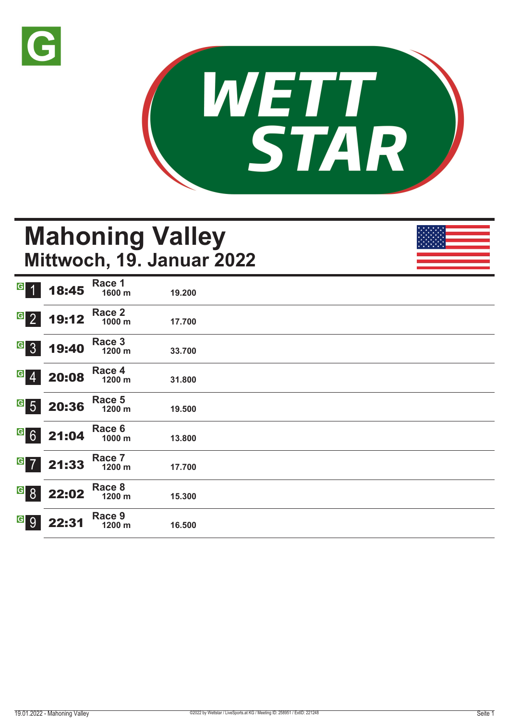



# **Mahoning Valley Mittwoch, 19. Januar 2022**

| G 1     | 18:45            | Race 1<br>1600 m | 19.200 |  |  |
|---------|------------------|------------------|--------|--|--|
| $G$ 2   | 19:12            | Race 2<br>1000 m | 17.700 |  |  |
| G 3     | 19:40            | Race 3<br>1200 m | 33.700 |  |  |
| $G$ $4$ | 20:08            | Race 4<br>1200 m | 31.800 |  |  |
|         | $G$ 5 20:36      | Race 5<br>1200 m | 19.500 |  |  |
|         | $G$ 6 21:04      | Race 6<br>1000 m | 13.800 |  |  |
|         | $G$ 7 21:33      | Race 7<br>1200 m | 17.700 |  |  |
|         | <b>6</b> 8 22:02 | Race 8<br>1200 m | 15.300 |  |  |
| G 9     | 22:31            | Race 9<br>1200 m | 16.500 |  |  |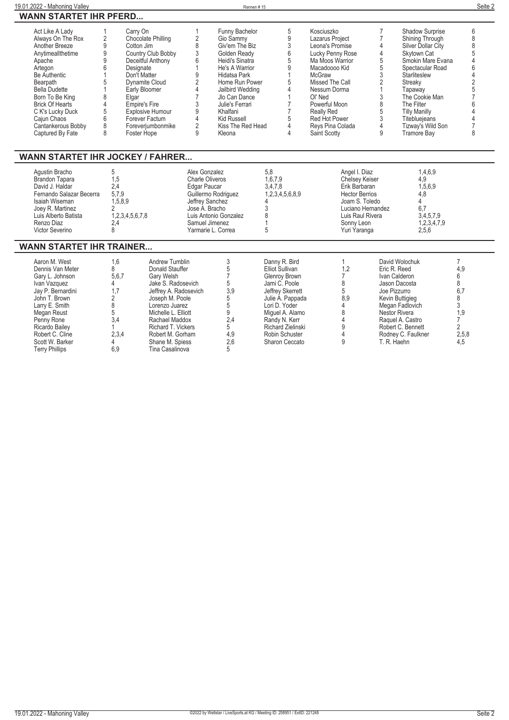| Act Like A Lady<br>Always On The Rox<br>Another Breeze<br>Anytimeallthetime<br>Apache<br>Artegon<br><b>Be Authentic</b><br><b>Bearpath</b><br><b>Bella Dudette</b><br>Born To Be King<br><b>Brick Of Hearts</b><br>C K's Lucky Duck | Carry On<br>Chocolate Philling<br>Cotton Jim<br>Country Club Bobby<br>Deceitful Anthony<br>Designate<br>Don't Matter<br>Dynamite Cloud<br>Early Bloomer<br>Elgar<br>Empire's Fire<br>Explosive Humour | Funny Bachelor<br>Gio Sammy<br>Giv'em The Biz<br>Golden Ready<br>Heidi's Sinatra<br>He's A Warrior<br>Hidatsa Park<br>Home Run Power<br>Jailbird Wedding<br>Jlo Can Dance<br>Julie's Ferrari<br>Khalfani | Kosciuszko<br>Lazarus Project<br>Leona's Promise<br>Lucky Penny Rose<br>Ma Moos Warrior<br>Macadoooo Kid<br>McGraw<br>Missed The Call<br>Nessum Dorma<br>OI' Ned<br>Powerful Moon<br>Really Red | <b>Shadow Surprise</b><br>Shining Through<br>Silver Dollar City<br>Skytown Cat<br>Smokin Mare Evana<br>Spectacular Road<br>Starliteslew<br>Streakv<br>Tapaway<br>The Cookie Man<br>The Filter<br><b>Tilly Manilly</b> |  |
|-------------------------------------------------------------------------------------------------------------------------------------------------------------------------------------------------------------------------------------|-------------------------------------------------------------------------------------------------------------------------------------------------------------------------------------------------------|----------------------------------------------------------------------------------------------------------------------------------------------------------------------------------------------------------|-------------------------------------------------------------------------------------------------------------------------------------------------------------------------------------------------|-----------------------------------------------------------------------------------------------------------------------------------------------------------------------------------------------------------------------|--|
| Cajun Chaos                                                                                                                                                                                                                         | Forever Factum                                                                                                                                                                                        | Kid Russell                                                                                                                                                                                              | Red Hot Power                                                                                                                                                                                   | <b>Titeblueieans</b>                                                                                                                                                                                                  |  |
| Cantankerous Bobby<br>Captured By Fate                                                                                                                                                                                              | Foreveriumbonmike<br>Foster Hope                                                                                                                                                                      | Kiss The Red Head<br>Kleona                                                                                                                                                                              | Revs Pina Colada<br>Saint Scotty                                                                                                                                                                | Tizway's Wild Son<br>Tramore Bay                                                                                                                                                                                      |  |

### **WANN STARTET IHR JOCKEY / FAHRER...**

| Agustin Bracho           |                 | Alex Gonzalez          | 5.8             | Angel I. Diaz         | 1,4,6,9     |  |
|--------------------------|-----------------|------------------------|-----------------|-----------------------|-------------|--|
| Brandon Tapara           | l.5             | <b>Charle Oliveros</b> | ,6,7,9          | <b>Chelsev Keiser</b> | 4,9         |  |
| David J. Haldar          | 2.4             | Edgar Paucar           | 3.4.7.8         | Erik Barbaran         | 1,5,6,9     |  |
| Fernando Salazar Becerra | 5,7,9           | Guillermo Rodriguez    | 1,2,3,4,5,6,8,9 | <b>Hector Berrios</b> | 4.8         |  |
| Isaiah Wiseman           | 1.5.8.9         | Jeffrey Sanchez        |                 | Joam S. Toledo        |             |  |
| Joev R. Martinez         |                 | Jose A. Bracho         |                 | Luciano Hernandez     | 6.7         |  |
| Luis Alberto Batista     | 1,2,3,4,5,6,7,8 | Luis Antonio Gonzalez  |                 | Luis Raul Rivera      | 3,4,5,7,9   |  |
| Renzo Diaz               | 2.4             | Samuel Jimenez         |                 | Sonny Leon            | 1,2,3,4,7,9 |  |
| Victor Severino          |                 | Yarmarie L. Correa     |                 | Yuri Yaranga          | 2,5,6       |  |

#### **WANN STARTET IHR TRAINER...**

| Aaron M. West         | 1.6   | Andrew Tumblin        |     | Danny R. Bird            |     | David Wolochuk     |       |
|-----------------------|-------|-----------------------|-----|--------------------------|-----|--------------------|-------|
| Dennis Van Meter      |       | Donald Stauffer       |     | <b>Elliot Sullivan</b>   |     | Eric R. Reed       | 4.9   |
| Gary L. Johnson       | 5,6,7 | Garv Welsh            |     | Glenrov Brown            |     | Ivan Calderon      |       |
| Ivan Vazquez          |       | Jake S. Radosevich    |     | Jami C. Poole            |     | Jason Dacosta      |       |
| Jay P. Bernardini     |       | Jeffrey A. Radosevich | 3,9 | Jeffrey Skerrett         |     | Joe Pizzurro       | 6,7   |
| John T. Brown         |       | Joseph M. Poole       |     | Julie A. Pappada         | 8,9 | Kevin Buttigieg    |       |
| Larry E. Smith        |       | Lorenzo Juarez        |     | Lori D. Yoder            |     | Megan Fadlovich    |       |
| Megan Reust           |       | Michelle L. Elliott   |     | Miguel A. Alamo          |     | Nestor Rivera      | 1.9   |
| Penny Rone            | 3.4   | Rachael Maddox        | 2.4 | Randy N. Kerr            |     | Raquel A. Castro   |       |
| Ricardo Bailey        |       | Richard T. Vickers    |     | <b>Richard Zielinski</b> |     | Robert C. Bennett  |       |
| Robert C. Cline       | 2,3,4 | Robert M. Gorham      | 4,9 | Robin Schuster           |     | Rodney C. Faulkner | 2,5,8 |
| Scott W. Barker       |       | Shane M. Spiess       | 2.6 | Sharon Ceccato           |     | T. R. Haehn        | 4.5   |
| <b>Terry Phillips</b> | 6.9   | Tina Casalinova       |     |                          |     |                    |       |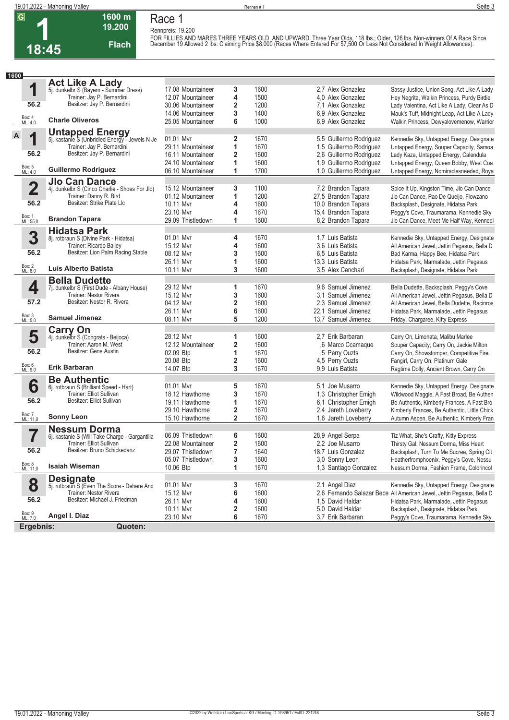**1**

# **Race 1 Rennpreis: 19.200**

**1600 m**

**Flach**

**18:45 19.200** 

FOR FILLIES AND MARES THREE YEARS OLD AND UPWARD. Three Year Olds, 118 lbs.; Older, 126 lbs. Non-winners Of A Race Since<br>December 19 Allowed 2 lbs. Claiming Price \$8,000 (Races Where Entered For \$7,500 Or Less Not Conside

| 1600               |                                                                          |                   |                         |              |                                       |                                                                               |
|--------------------|--------------------------------------------------------------------------|-------------------|-------------------------|--------------|---------------------------------------|-------------------------------------------------------------------------------|
|                    | <b>Act Like A Lady</b>                                                   |                   |                         |              |                                       |                                                                               |
| 1                  | 5j. dunkelbr S (Bayern - Summer Dress)                                   | 17.08 Mountaineer | 3                       | 1600         | 2.7 Alex Gonzalez                     | Sassy Justice, Union Song, Act Like A Lady                                    |
|                    | Trainer: Jay P. Bernardini                                               | 12.07 Mountaineer | 4                       | 1500         | 4.0 Alex Gonzalez                     | Hey Negrita, Walkin Princess, Purdy Birdie                                    |
| 56.2               | Besitzer: Jay P. Bernardini                                              | 30.06 Mountaineer | 2                       | 1200         | 7.1 Alex Gonzalez                     | Lady Valentina, Act Like A Lady, Clear As D                                   |
|                    |                                                                          | 14.06 Mountaineer | 3                       | 1400         | 6.9 Alex Gonzalez                     | Mauk's Tuff, Midnight Leap, Act Like A Lady                                   |
| Box: 4<br>ML: 4,0  | <b>Charle Oliveros</b>                                                   | 25.05 Mountaineer | 6                       | 1000         | 6,9 Alex Gonzalez                     | Walkin Princess, Dewyalovemenow, Warrior                                      |
|                    |                                                                          |                   |                         |              |                                       |                                                                               |
| A<br>1             | <b>Untapped Energy</b><br>5j. kastanie S (Unbridled Energy - Jewels N Je | 01.01 Mvr         | 2                       | 1670         | 5,5 Guillermo Rodriguez               | Kennedie Sky, Untapped Energy, Designate                                      |
|                    | Trainer: Jay P. Bernardini                                               | 29.11 Mountaineer | 1                       | 1670         | 1,5 Guillermo Rodriguez               | Untapped Energy, Souper Capacity, Samoa                                       |
| 56.2               | Besitzer: Jay P. Bernardini                                              | 16.11 Mountaineer | $\overline{\mathbf{2}}$ | 1600         | 2,6 Guillermo Rodriguez               | Lady Kaza, Untapped Energy, Calendula                                         |
|                    |                                                                          | 24.10 Mountaineer | 1                       | 1600         | 1,9 Guillermo Rodriguez               | Untapped Energy, Queen Bobby, West Coa                                        |
| Box: 5<br>ML: 4,0  | <b>Guillermo Rodriguez</b>                                               | 06.10 Mountaineer | 1                       | 1700         | 1,0 Guillermo Rodriguez               | Untapped Energy, Nomiraclesneeded, Roya                                       |
|                    | <b>Jlo Can Dance</b>                                                     |                   |                         |              |                                       |                                                                               |
| $\overline{2}$     | 4j. dunkelbr S (Cinco Charlie - Shoes For Jlo)                           | 15.12 Mountaineer | 3                       | 1100         | 7,2 Brandon Tapara                    | Spice It Up, Kingston Time, Jlo Can Dance                                     |
|                    | Trainer: Danny R. Bird                                                   | 01.12 Mountaineer | 1                       | 1200         | 27,5 Brandon Tapara                   | Jlo Can Dance, Pao De Queijo, Flowzano                                        |
| 56.2               | Besitzer: Strike Plate Llc                                               | 10.11 Mvr         | 4                       | 1600         | 10,0 Brandon Tapara                   | Backsplash, Designate, Hidatsa Park                                           |
|                    |                                                                          | 23.10 Mvr         | 4                       | 1670         | 15,4 Brandon Tapara                   | Peggy's Cove, Traumarama, Kennedie Sky                                        |
| Box: 1<br>ML: 55,0 | <b>Brandon Tapara</b>                                                    | 29.09 Thistledown | 1                       | 1600         | 8.2 Brandon Tapara                    | Jlo Can Dance, Meet Me Half Way, Kennedi                                      |
|                    | <b>Hidatsa Park</b>                                                      |                   |                         |              |                                       |                                                                               |
| 3                  | 8j. rotbraun S (Divine Park - Hidatsa)                                   | 01.01 Mvr         | 4                       | 1670         | 1.7 Luis Batista                      | Kennedie Sky, Untapped Energy, Designate                                      |
|                    | Trainer: Ricardo Bailey                                                  | 15.12 Mvr         | 4                       | 1600         | 3.6 Luis Batista                      | All American Jewel, Jettin Pegasus, Bella D                                   |
| 56.2               | Besitzer: Lion Palm Racing Stable                                        | 08.12 Mvr         | 3                       | 1600         | 6.5 Luis Batista                      | Bad Karma, Happy Bee, Hidatsa Park                                            |
|                    |                                                                          | 26.11 Myr         | 1                       | 1600         | 13.3 Luis Batista                     | Hidatsa Park, Marmalade, Jettin Pegasus                                       |
| Box: 2<br>ML: 6,0  | Luis Alberto Batista                                                     | 10.11 Mvr         | 3                       | 1600         | 3.5 Alex Canchari                     | Backsplash, Designate, Hidatsa Park                                           |
|                    | <b>Bella Dudette</b>                                                     |                   |                         |              |                                       |                                                                               |
| 4                  | 7j. dunkelbr S (First Dude - Albany House)                               | 29.12 Mvr         | 1                       | 1670         | 9.6 Samuel Jimenez                    | Bella Dudette, Backsplash, Peggy's Cove                                       |
|                    | Trainer: Nestor Rivera                                                   | 15.12 Mvr         | 3                       | 1600         | 3.1 Samuel Jimenez                    | All American Jewel, Jettin Pegasus, Bella D                                   |
| 57.2               | Besitzer: Nestor R. Rivera                                               | 04.12 Mvr         | 2                       | 1600         | 2.3 Samuel Jimenez                    | All American Jewel, Bella Dudette, Racinros                                   |
|                    |                                                                          | 26.11 Mvr         | 6                       | 1600         | 22.1 Samuel Jimenez                   | Hidatsa Park, Marmalade, Jettin Pegasus                                       |
| Box: 3<br>ML: 5,0  | <b>Samuel Jimenez</b>                                                    | 08.11 Mvr         | 5                       | 1200         | 13,7 Samuel Jimenez                   | Friday, Chargaree, Kitty Express                                              |
|                    | <b>Carry On</b>                                                          |                   |                         |              |                                       |                                                                               |
| 5                  | 4j. dunkelbr S (Congrats - Beijoca)                                      | 28.12 Mvr         | 1                       | 1600         | 2.7 Erik Barbaran                     | Carry On, Limonata, Malibu Marlee                                             |
| 56.2               | Trainer: Aaron M. West<br>Besitzer: Gene Austin                          | 12.12 Mountaineer | $\overline{\mathbf{2}}$ | 1600         | ,6 Marco Ccamaque                     | Souper Capacity, Carry On, Jackie Milton                                      |
|                    |                                                                          | 02.09 Btp         | 1                       | 1670         | ,5 Perry Ouzts                        | Carry On, Showstomper, Competitive Fire                                       |
|                    |                                                                          | 20.08 Btp         | 2                       | 1600         | 4,5 Perry Ouzts                       | Fangirl, Carry On, Platinum Gale                                              |
| Box: 6<br>ML: 9,0  | Erik Barbaran                                                            | 14.07 Btp         | 3                       | 1670         | 9.9 Luis Batista                      | Ragtime Dolly, Ancient Brown, Carry On                                        |
|                    | <b>Be Authentic</b>                                                      |                   |                         |              |                                       |                                                                               |
| 6                  | 6j. rotbraun S (Brilliant Speed - Hart)                                  | 01.01 Mvr         | 5                       | 1670         | 5.1 Joe Musarro                       | Kennedie Sky, Untapped Energy, Designate                                      |
|                    | Trainer: Elliot Sullivan<br>Besitzer: Elliot Sullivan                    | 18.12 Hawthorne   | 3                       | 1670         | 1,3 Christopher Emigh                 | Wildwood Maggie, A Fast Broad, Be Authen                                      |
| 56.2               |                                                                          | 19.11 Hawthorne   | 1                       | 1670         | 6.1 Christopher Emigh                 | Be Authentic, Kimberly Frances, A Fast Bro                                    |
|                    | <b>Sonny Leon</b>                                                        | 29.10 Hawthorne   | 2                       | 1670         | 2.4 Jareth Loveberry                  | Kimberly Frances, Be Authentic, Little Chick                                  |
| Box: 7<br>ML: 11,0 |                                                                          | 15.10 Hawthorne   | $\overline{2}$          | 1670         | 1,6 Jareth Loveberry                  | Autumn Aspen, Be Authentic, Kimberly Fran                                     |
|                    | <b>Nessum Dorma</b>                                                      |                   |                         |              |                                       |                                                                               |
|                    | 6j. kastanie S (Will Take Charge - Gargantilla                           | 06.09 Thistledown | 6                       | 1600         | 28,9 Angel Serpa                      | Tiz What, She's Crafty, Kitty Express                                         |
| 56.2               | Trainer: Elliot Sullivan<br>Besitzer: Bruno Schickedanz                  | 22.08 Mountaineer | $\overline{\mathbf{2}}$ | 1600         | 2.2 Joe Musarro                       | Thirsty Gal, Nessum Dorma, Miss Heart                                         |
|                    |                                                                          | 29.07 Thistledown | 7                       | 1640         | 18,7 Luis Gonzalez                    | Backsplash, Turn To Me Sucree, Spring Cit                                     |
| Box: 8<br>ML: 11,0 | <b>Isaiah Wiseman</b>                                                    | 05.07 Thistledown | 3                       | 1600         | 3,0 Sonny Leon                        | Heatherfromphoenix, Peggy's Cove, Nessu                                       |
|                    |                                                                          | 10.06 Btp         | 1                       | 1670         | 1,3 Santiago Gonzalez                 | Nessum Dorma, Fashion Frame, Colorincol                                       |
|                    | <b>Designate</b>                                                         |                   |                         |              |                                       |                                                                               |
| 8                  | 5j. rotbraun S (Even The Score - Dehere And                              | 01.01 Mvr         | 3                       | 1670         | 2,1 Angel Diaz                        | Kennedie Sky, Untapped Energy, Designate                                      |
| 56.2               | Trainer: Nestor Rivera<br>Besitzer: Michael J. Friedman                  | 15.12 Mvr         | 6                       | 1600         |                                       | 2,6 Fernando Salazar Bece All American Jewel, Jettin Pegasus, Bella D         |
|                    |                                                                          | 26.11 Mvr         | 4                       | 1600         | 1.5 David Haldar                      | Hidatsa Park, Marmalade, Jettin Pegasus                                       |
| Box: 9<br>ML: 7,0  | Angel I. Diaz                                                            | 10.11 Mvr         | 2<br>6                  | 1600<br>1670 | 5.0 David Haldar<br>3.7 Erik Barbaran | Backsplash, Designate, Hidatsa Park<br>Peggy's Cove, Traumarama, Kennedie Sky |
|                    |                                                                          | 23.10 Mvr         |                         |              |                                       |                                                                               |
| Ergebnis:          | Quoten:                                                                  |                   |                         |              |                                       |                                                                               |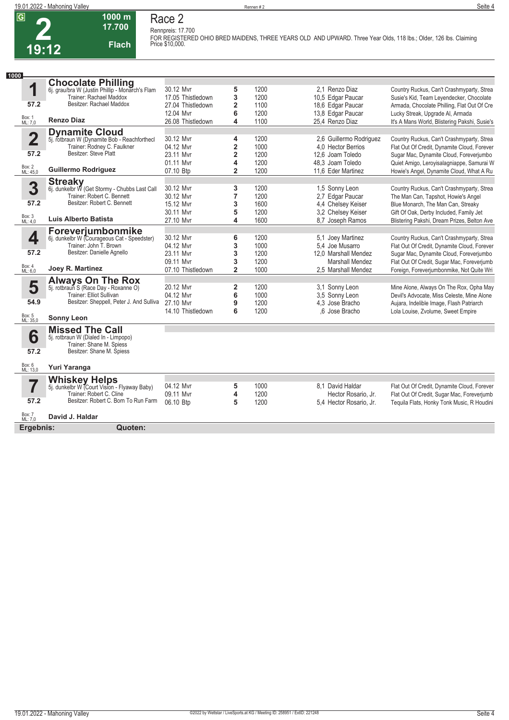

**Race 2 Rennpreis: 17.700**



**2 19:12**

**1000 m 17.700** 

**Flach**

**FOR REGISTERED OHIO BRED MAIDENS, THREE YEARS OLD AND UPWARD. Three Year Olds, 118 lbs.; Older, 126 lbs. Claiming Price \$10,000.** 

| 1000                    |                                                                             |                                |                         |              |                                      |                                                                                          |
|-------------------------|-----------------------------------------------------------------------------|--------------------------------|-------------------------|--------------|--------------------------------------|------------------------------------------------------------------------------------------|
|                         | <b>Chocolate Philling</b>                                                   |                                |                         |              |                                      |                                                                                          |
| 1                       | 6j. grau/bra W (Justin Phillip - Monarch's Flam                             | 30.12 Mvr                      | 5                       | 1200         | 2.1 Renzo Diaz                       | Country Ruckus, Can't Crashmyparty, Strea                                                |
|                         | Trainer: Rachael Maddox<br>Besitzer: Rachael Maddox                         | 17.05 Thistledown              | 3                       | 1200         | 10,5 Edgar Paucar                    | Susie's Kid, Team Leyendecker, Chocolate                                                 |
| 57.2                    |                                                                             | 27.04 Thistledown              | $\overline{2}$          | 1100         | 18,6 Edgar Paucar                    | Armada, Chocolate Philling, Flat Out Of Cre                                              |
| Box: 1<br>ML: 7,0       | <b>Renzo Diaz</b>                                                           | 12.04 Mvr<br>26.08 Thistledown | 6<br>4                  | 1200<br>1100 | 13,8 Edgar Paucar<br>25.4 Renzo Diaz | Lucky Streak, Upgrade Al, Armada<br>It's A Mans World, Blistering Pakshi, Susie's        |
|                         |                                                                             |                                |                         |              |                                      |                                                                                          |
| $\overline{\mathbf{2}}$ | <b>Dynamite Cloud</b>                                                       | 30.12 Mvr                      | 4                       | 1200         | 2.6 Guillermo Rodriguez              |                                                                                          |
|                         | 5j. rotbraun W (Dynamite Bob - Reachforthech<br>Trainer: Rodney C. Faulkner | 04.12 Mvr                      | $\overline{\mathbf{2}}$ | 1000         | 4.0 Hector Berrios                   | Country Ruckus, Can't Crashmyparty, Strea<br>Flat Out Of Credit, Dynamite Cloud, Forever |
| 57.2                    | Besitzer: Steve Platt                                                       | 23.11 Mvr                      | $\overline{\mathbf{c}}$ | 1200         | 12.6 Joam Toledo                     | Sugar Mac, Dynamite Cloud, Foreverjumbo                                                  |
|                         |                                                                             | 01.11 Mvr                      | 4                       | 1200         | 48.3 Joam Toledo                     | Quiet Amigo, Leroyisalagniappe, Samurai W                                                |
| Box: 2<br>ML: 45,0      | <b>Guillermo Rodriguez</b>                                                  | 07.10 Btp                      | $\overline{\mathbf{2}}$ | 1200         | 11,6 Eder Martinez                   | Howie's Angel, Dynamite Cloud, What A Ru                                                 |
|                         |                                                                             |                                |                         |              |                                      |                                                                                          |
| 3                       | Streaky<br>6j. dunkelbr W (Get Stormy - Chubbs Last Call                    | 30.12 Mvr                      | 3                       | 1200         | 1,5 Sonny Leon                       | Country Ruckus, Can't Crashmyparty, Strea                                                |
|                         | Trainer: Robert C. Bennett                                                  | 30.12 Myr                      | $\overline{7}$          | 1200         | 2,7 Edgar Paucar                     | The Man Can, Tapshot, Howie's Angel                                                      |
| 57.2                    | Besitzer: Robert C. Bennett                                                 | 15.12 Mvr                      | 3                       | 1600         | 4.4 Chelsey Keiser                   | Blue Monarch, The Man Can, Streaky                                                       |
|                         |                                                                             | 30.11 Myr                      | 5                       | 1200         | 3.2 Chelsey Keiser                   | Gift Of Oak, Derby Included, Family Jet                                                  |
| Box: 3<br>ML: 4,0       | Luis Alberto Batista                                                        | 27.10 Mvr                      | 4                       | 1600         | 8.7 Joseph Ramos                     | Blistering Pakshi, Dream Prizes, Belton Ave                                              |
|                         | Foreverjumbonmike                                                           |                                |                         |              |                                      |                                                                                          |
| 4                       | 6j. dunkelbr W (Courageous Cat - Speedster)                                 | 30.12 Mvr                      | 6                       | 1200         | 5,1 Joey Martinez                    | Country Ruckus, Can't Crashmyparty, Strea                                                |
|                         | Trainer: John T. Brown                                                      | 04.12 Mvr                      | 3                       | 1000         | 5.4 Joe Musarro                      | Flat Out Of Credit, Dynamite Cloud, Forever                                              |
| 57.2                    | Besitzer: Danielle Agnello                                                  | 23.11 Mvr                      | 3                       | 1200         | 12.0 Marshall Mendez                 | Sugar Mac, Dynamite Cloud, Foreverjumbo                                                  |
| Box: 4                  |                                                                             | 09.11 Myr                      | 3                       | 1200         | <b>Marshall Mendez</b>               | Flat Out Of Credit, Sugar Mac, Foreverjumb                                               |
| ML: 6.0                 | Joey R. Martinez                                                            | 07.10 Thistledown              | $\overline{2}$          | 1000         | 2.5 Marshall Mendez                  | Foreign, Foreverjumbonmike, Not Quite Wri                                                |
|                         | <b>Always On The Rox</b>                                                    |                                |                         |              |                                      |                                                                                          |
| 5                       | 5j. rotbraun S (Race Day - Roxanne O)                                       | 20.12 Mvr                      | 2                       | 1200         | 3.1 Sonny Leon                       | Mine Alone, Always On The Rox, Opha May                                                  |
|                         | Trainer: Elliot Sullivan                                                    | 04.12 Mvr                      | 6                       | 1000         | 3.5 Sonny Leon                       | Devil's Advocate, Miss Celeste, Mine Alone                                               |
| 54.9                    | Besitzer: Sheppell, Peter J. And Sulliva                                    | 27.10 Myr                      | 9                       | 1200         | 4.3 Jose Bracho                      | Aujara, Indelible Image, Flash Patriarch                                                 |
| Box: 5<br>ML: 35,0      | <b>Sonny Leon</b>                                                           | 14.10 Thistledown              | 6                       | 1200         | .6 Jose Bracho                       | Lola Louise, Zvolume, Sweet Empire                                                       |
|                         |                                                                             |                                |                         |              |                                      |                                                                                          |
|                         | <b>Missed The Call</b>                                                      |                                |                         |              |                                      |                                                                                          |
| 6                       | 5j. rotbraun W (Dialed In - Limpopo)                                        |                                |                         |              |                                      |                                                                                          |
| 57.2                    | Trainer: Shane M. Spiess<br>Besitzer: Shane M. Spiess                       |                                |                         |              |                                      |                                                                                          |
|                         |                                                                             |                                |                         |              |                                      |                                                                                          |
| Box: 6<br>ML: 13,0      | Yuri Yaranga                                                                |                                |                         |              |                                      |                                                                                          |
|                         | <b>Whiskey Helps</b><br>5j. dunkelbr W (Court Vision - Flyaway Baby)        |                                |                         |              |                                      |                                                                                          |
| 7                       |                                                                             | 04.12 Mvr                      | 5                       | 1000         | 8.1 David Haldar                     | Flat Out Of Credit, Dynamite Cloud, Forever                                              |
|                         | Trainer: Robert C. Cline                                                    | 09.11 Mvr                      | 4                       | 1200         | Hector Rosario, Jr.                  | Flat Out Of Credit, Sugar Mac, Foreverjumb                                               |
| 57.2                    | Besitzer: Robert C. Born To Run Farm                                        | 06.10 Btp                      | 5                       | 1200         | 5.4 Hector Rosario. Jr.              | Tequila Flats, Honky Tonk Music, R Houdini                                               |
| Box: 7<br>ML: 7,0       | David J. Haldar                                                             |                                |                         |              |                                      |                                                                                          |
| Ergebnis:               | Quoten:                                                                     |                                |                         |              |                                      |                                                                                          |
|                         |                                                                             |                                |                         |              |                                      |                                                                                          |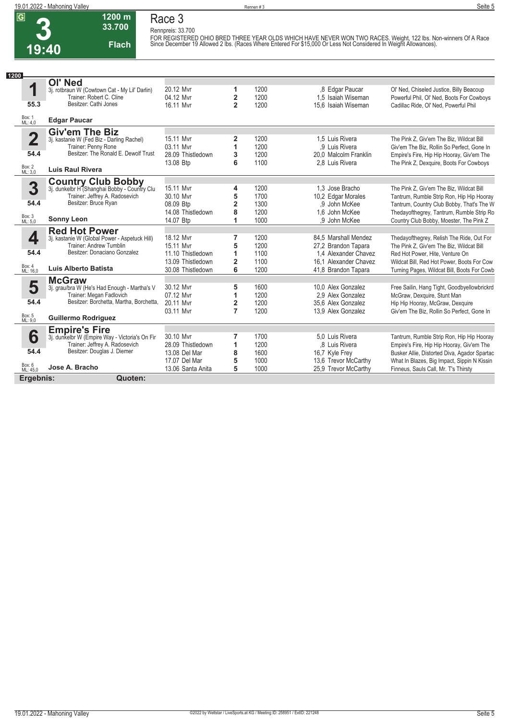**Race 3 Rennpreis: 33.700**



## **33.700 Flach**

**1200 m**

FOR REGISTERED OHIO BRED THREE YEAR OLDS WHICH HAVE NEVER WON TWO RACES. Weight, 122 lbs. Non-winners Of A Race<br>Since December 19 Allowed 2 lbs. (Races Where Entered For \$15,000 Or Less Not Considered In Weight Allowances)

| 1200                    |                                                                           |                   |                         |      |                       |                                              |
|-------------------------|---------------------------------------------------------------------------|-------------------|-------------------------|------|-----------------------|----------------------------------------------|
|                         | <b>OI' Ned</b>                                                            |                   |                         |      |                       |                                              |
| 1                       | 3j. rotbraun W (Cowtown Cat - My Lil' Darlin)                             | 20.12 Mvr         | 1                       | 1200 | ,8 Edgar Paucar       | Ol' Ned, Chiseled Justice, Billy Beacoup     |
|                         | Trainer: Robert C. Cline                                                  | 04.12 Mvr         | 2                       | 1200 | 1.5 Isaiah Wiseman    | Powerful Phil, Ol' Ned, Boots For Cowboys    |
| 55.3                    | Besitzer: Cathi Jones                                                     | 16.11 Myr         | $\overline{2}$          | 1200 | 15.6 Isaiah Wiseman   | Cadillac Ride, Ol' Ned, Powerful Phil        |
| Box: 1<br>ML: 4,0       | <b>Edgar Paucar</b>                                                       |                   |                         |      |                       |                                              |
|                         | <b>Giv'em The Biz</b>                                                     |                   |                         |      |                       |                                              |
| $\overline{\mathbf{2}}$ | 3j. kastanie W (Fed Biz - Darling Rachel)                                 | 15.11 Mvr         | 2                       | 1200 | 1.5 Luis Rivera       | The Pink Z. Giv'em The Biz. Wildcat Bill     |
|                         | Trainer: Penny Rone                                                       | 03.11 Myr         | 1                       | 1200 | .9 Luis Rivera        | Giv'em The Biz, Rollin So Perfect, Gone In   |
| 54.4                    | Besitzer: The Ronald E. Dewolf Trust                                      | 28.09 Thistledown | 3                       | 1200 | 20.0 Malcolm Franklin | Empire's Fire, Hip Hip Hooray, Giv'em The    |
|                         |                                                                           | 13.08 Btp         | 6                       | 1100 | 2.8 Luis Rivera       | The Pink Z, Dexquire, Boots For Cowboys      |
| Box: 2<br>ML: 3,0       | <b>Luis Raul Rivera</b>                                                   |                   |                         |      |                       |                                              |
|                         | <b>Country Club Bobby</b><br>3j. dunkelbr H (Shanghai Bobby - Country Clu |                   |                         |      |                       |                                              |
| 3                       |                                                                           | 15.11 Mvr         | 4                       | 1200 | 1.3 Jose Bracho       | The Pink Z, Giv'em The Biz, Wildcat Bill     |
|                         | Trainer: Jeffrey A. Radosevich                                            | 30.10 Mvr         | 5                       | 1700 | 10,2 Edgar Morales    | Tantrum, Rumble Strip Ron, Hip Hip Hooray    |
| 54.4                    | Besitzer: Bruce Ryan                                                      | 08.09 Btp         | $\overline{\mathbf{2}}$ | 1300 | .9 John McKee         | Tantrum, Country Club Bobby, That's The W    |
|                         |                                                                           | 14.08 Thistledown | 8                       | 1200 | 1.6 John McKee        | Thedayofthegrey, Tantrum, Rumble Strip Ro    |
| Box: 3<br>ML: 5,0       | <b>Sonny Leon</b>                                                         | 14.07 Btp         | 1                       | 1000 | .9 John McKee         | Country Club Bobby, Moester, The Pink Z      |
|                         | <b>Red Hot Power</b>                                                      |                   |                         |      |                       |                                              |
| 4                       | 3j. kastanie W (Global Power - Aspetuck Hill)                             | 18.12 Mvr         | 7                       | 1200 | 84,5 Marshall Mendez  | Thedayofthegrey, Relish The Ride, Out For    |
|                         | Trainer: Andrew Tumblin                                                   | 15.11 Mvr         | 5                       | 1200 | 27,2 Brandon Tapara   | The Pink Z, Giv'em The Biz, Wildcat Bill     |
| 54.4                    | Besitzer: Donaciano Gonzalez                                              | 11.10 Thistledown | 1                       | 1100 | 1.4 Alexander Chavez  | Red Hot Power, Hite, Venture On              |
| Box: 4                  | <b>Luis Alberto Batista</b>                                               | 13.09 Thistledown | $\overline{2}$          | 1100 | 16.1 Alexander Chavez | Wildcat Bill, Red Hot Power, Boots For Cow   |
| ML: 16.0                |                                                                           | 30.08 Thistledown | 6                       | 1200 | 41,8 Brandon Tapara   | Turning Pages, Wildcat Bill, Boots For Cowb  |
|                         | <b>McGraw</b>                                                             |                   |                         |      |                       |                                              |
| 5                       | 3j. grau/bra W (He's Had Enough - Martha's V                              | 30.12 Mvr         | 5                       | 1600 | 10.0 Alex Gonzalez    | Free Sailin, Hang Tight, Goodbyellowbrickrd  |
| 54.4                    | Trainer: Megan Fadlovich<br>Besitzer: Borchetta, Martha, Borchetta,       | 07.12 Mvr         | 1                       | 1200 | 2.9 Alex Gonzalez     | McGraw, Dexquire, Stunt Man                  |
|                         |                                                                           | 20.11 Myr         | $\overline{2}$          | 1200 | 35.6 Alex Gonzalez    | Hip Hip Hooray, McGraw, Dexquire             |
| Box: 5<br>ML: 9,0       | <b>Guillermo Rodriguez</b>                                                | 03.11 Myr         | $\overline{7}$          | 1200 | 13,9 Alex Gonzalez    | Giv'em The Biz, Rollin So Perfect, Gone In   |
|                         | <b>Empire's Fire</b>                                                      |                   |                         |      |                       |                                              |
| 6                       | 3j. dunkelbr W (Empire Way - Victoria's On Fir                            | 30.10 Mvr         | 7                       | 1700 | 5.0 Luis Rivera       | Tantrum, Rumble Strip Ron, Hip Hip Hooray    |
|                         | Trainer: Jeffrey A. Radosevich                                            | 28.09 Thistledown | 1                       | 1200 | .8 Luis Rivera        | Empire's Fire, Hip Hip Hooray, Giv'em The    |
| 54.4                    | Besitzer: Douglas J. Diemer                                               | 13.08 Del Mar     | 8                       | 1600 | 16,7 Kyle Frey        | Busker Allie, Distorted Diva, Agador Spartac |
|                         |                                                                           | 17.07 Del Mar     | 5                       | 1000 | 13,6 Trevor McCarthy  | What In Blazes, Big Impact, Sippin N Kissin  |
| Box: 6<br>ML: 45,0      | Jose A. Bracho                                                            | 13.06 Santa Anita | 5                       | 1000 | 25.9 Trevor McCarthy  | Finneus, Sauls Call, Mr. T's Thirsty         |
| Ergebnis:               | Quoten:                                                                   |                   |                         |      |                       |                                              |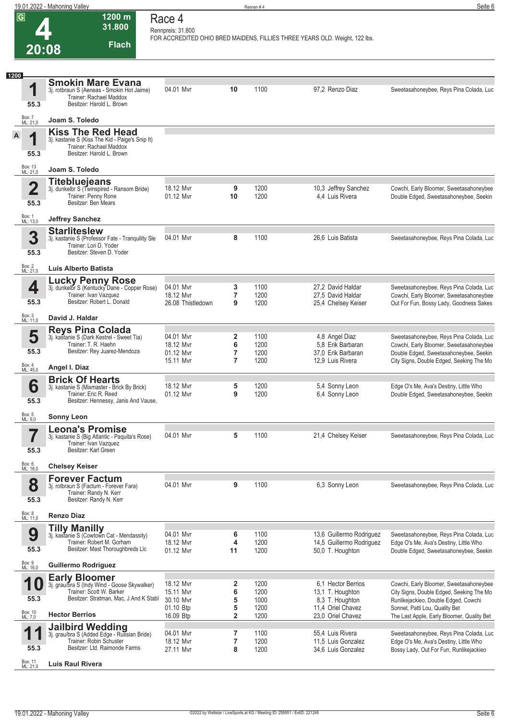| $\overline{G}$                  | $1200 \text{ m}$<br>31.800                                                                                                                                          | Race 4<br>Rennpreis: 31.800                                   |                                    |                                      |                                                                                                     |                                                                                                                                                                                                             |
|---------------------------------|---------------------------------------------------------------------------------------------------------------------------------------------------------------------|---------------------------------------------------------------|------------------------------------|--------------------------------------|-----------------------------------------------------------------------------------------------------|-------------------------------------------------------------------------------------------------------------------------------------------------------------------------------------------------------------|
| 20:08                           | <b>Flach</b>                                                                                                                                                        |                                                               |                                    |                                      | FOR ACCREDITED OHIO BRED MAIDENS, FILLIES THREE YEARS OLD. Weight, 122 lbs.                         |                                                                                                                                                                                                             |
|                                 |                                                                                                                                                                     |                                                               |                                    |                                      |                                                                                                     |                                                                                                                                                                                                             |
| 1200<br>1<br>55.3               | <b>Smokin Mare Evana</b><br>3j. rotbraun S (Aeneas - Smokin Hot Jaime)<br>Trainer: Rachael Maddox<br>Besitzer: Harold L. Brown                                      | 04.01 Mvr                                                     | 10                                 | 1100                                 | 97,2 Renzo Diaz                                                                                     | Sweetasahoneybee, Reys Pina Colada, Luc                                                                                                                                                                     |
| Box: 7<br>ML: 21,0              | Joam S. Toledo                                                                                                                                                      |                                                               |                                    |                                      |                                                                                                     |                                                                                                                                                                                                             |
| A<br>1<br>55.3                  | <b>Kiss The Red Head</b><br>3j. kastanie S (Kiss The Kid - Paige's Snip It)<br>Trainer: Rachael Maddox<br>Besitzer: Harold L. Brown                                 |                                                               |                                    |                                      |                                                                                                     |                                                                                                                                                                                                             |
| Box: 13<br>ML: 21,0             | Joam S. Toledo                                                                                                                                                      |                                                               |                                    |                                      |                                                                                                     |                                                                                                                                                                                                             |
| $\overline{\mathbf{2}}$<br>55.3 | <b>Titebluejeans</b><br>3j. dunkelbr S (Twinspired - Ransom Bride)<br>Trainer: Penny Rone<br>Besitzer: Ben Mears                                                    | 18.12 Mvr<br>01.12 Myr                                        | 9<br>10                            | 1200<br>1200                         | 10,3 Jeffrey Sanchez<br>4,4 Luis Rivera                                                             | Cowchi, Early Bloomer, Sweetasahoneybee<br>Double Edged, Sweetasahoneybee, Seekin                                                                                                                           |
| Box: 1<br>ML: 13,0              | <b>Jeffrey Sanchez</b>                                                                                                                                              |                                                               |                                    |                                      |                                                                                                     |                                                                                                                                                                                                             |
| 3<br>55.3                       | <b>Starliteslew</b><br>3j. kastanie S (Professor Fate - Tranquility Sle<br>Trainer: Lori D. Yoder<br>Besitzer: Steven D. Yoder                                      | 04.01 Mvr                                                     | 8                                  | 1100                                 | 26,6 Luis Batista                                                                                   | Sweetasahoneybee, Reys Pina Colada, Luc                                                                                                                                                                     |
| Box: 2<br>ML: 21,0              | Luis Alberto Batista                                                                                                                                                |                                                               |                                    |                                      |                                                                                                     |                                                                                                                                                                                                             |
| 4<br>55.3                       | <b>Lucky Penny Rose</b><br>3j. dunkelbr S (Kentucky Dane - Copper Rose)<br>Trainer: Ivan Vazquez<br>Besitzer: Robert L. Donald                                      | 04.01 Mvr<br>18.12 Mvr<br>26.08 Thistledown                   | 3<br>$\overline{7}$<br>9           | 1100<br>1200<br>1200                 | 27,2 David Haldar<br>27,5 David Haldar<br>25,4 Chelsey Keiser                                       | Sweetasahoneybee, Reys Pina Colada, Luc<br>Cowchi, Early Bloomer, Sweetasahoneybee<br>Out For Fun, Bossy Lady, Goodness Sakes                                                                               |
| Box: 3<br>ML: 11,0              | David J. Haldar                                                                                                                                                     |                                                               |                                    |                                      |                                                                                                     |                                                                                                                                                                                                             |
| 5<br>55.3<br>Box: 4<br>ML: 45,0 | <b>Reys Pina Colada</b><br>3j. kastanie S (Dark Kestrel - Sweet Tia)<br>Trainer: T. R. Haehn<br>Besitzer: Rey Juarez-Mendoza<br>Angel I. Diaz                       | 04.01 Mvr<br>18.12 Mvr<br>01.12 Mvr<br>15.11 Mvr              | 2<br>6<br>7<br>$\overline{7}$      | 1100<br>1200<br>1200<br>1200         | 4,8 Angel Diaz<br>5.8 Erik Barbaran<br>37,0 Erik Barbaran<br>12,9 Luis Rivera                       | Sweetasahoneybee, Reys Pina Colada, Luc<br>Cowchi, Early Bloomer, Sweetasahoneybee<br>Double Edged, Sweetasahoneybee, Seekin<br>City Signs, Double Edged, Seeking The Mo                                    |
| 6<br>55.3                       | <b>Brick Of Hearts</b><br>3j. kastanie S (Mixmaster - Brick By Brick)<br>Trainer: Eric R. Reed<br>Besitzer: Hennessy, Janis And Vause,                              | 18.12 Mvr<br>01.12 Mvr                                        | 5<br>9                             | 1200<br>1200                         | 5,4 Sonny Leon<br>6,4 Sonny Leon                                                                    | Edge O's Me, Ava's Destiny, Little Who<br>Double Edged, Sweetasahoneybee, Seekin                                                                                                                            |
| Box: 5<br>ML: 9,0               | <b>Sonny Leon</b>                                                                                                                                                   |                                                               |                                    |                                      |                                                                                                     |                                                                                                                                                                                                             |
| 55.3                            | <b>Leona's Promise</b><br>3j. kastanie S (Big Atlantic - Paquita's Rose)<br>Trainer: Ivan Vazquez<br>Besitzer: Karl Green                                           | 04.01 Mvr                                                     | 5                                  | 1100                                 | 21,4 Chelsey Keiser                                                                                 | Sweetasahoneybee, Reys Pina Colada, Luc                                                                                                                                                                     |
| Box: 6<br>ML: 16,0              | <b>Chelsey Keiser</b>                                                                                                                                               |                                                               |                                    |                                      |                                                                                                     |                                                                                                                                                                                                             |
| 8<br>55.3                       | <b>Forever Factum</b><br>3j. rotbraun S (Factum - Forever Fara)<br>Trainer: Randy N. Kerr<br>Besitzer: Randy N. Kerr                                                | 04.01 Mvr                                                     | 9                                  | 1100                                 | 6,3 Sonny Leon                                                                                      | Sweetasahoneybee, Reys Pina Colada, Luc                                                                                                                                                                     |
| Box: 8<br>ML: 11,0              | <b>Renzo Diaz</b>                                                                                                                                                   |                                                               |                                    |                                      |                                                                                                     |                                                                                                                                                                                                             |
| 9<br>55.3                       | <b>Tilly Manilly</b><br>3j. kastanie S (Cowtown Cat - Mendassity)<br>Trainer: Robert M. Gorham<br>Besitzer: Mast Thoroughbreds Llc                                  | 04.01 Mvr<br>18.12 Mvr<br>01.12 Mvr                           | 6<br>4<br>11                       | 1100<br>1200<br>1200                 | 13,6 Guillermo Rodriguez<br>14,5 Guillermo Rodriguez<br>50,0 T. Houghton                            | Sweetasahoneybee, Reys Pina Colada, Luc<br>Edge O's Me, Ava's Destiny, Little Who<br>Double Edged, Sweetasahoneybee, Seekin                                                                                 |
| Box: 9<br>ML: 16,0              | <b>Guillermo Rodriguez</b>                                                                                                                                          |                                                               |                                    |                                      |                                                                                                     |                                                                                                                                                                                                             |
| 55.3<br>Box: 10<br>ML: 7,0      | <b>Early Bloomer</b><br>3j. grau/bra S (Indy Wind - Goose Skywalker)<br>Trainer: Scott W. Barker<br>Besitzer: Stratman, Mac, J And K Stabl<br><b>Hector Berrios</b> | 18.12 Mvr<br>15.11 Myr<br>30.10 Mvr<br>01.10 Btp<br>16.09 Btp | 2<br>6<br>5<br>5<br>$\overline{2}$ | 1200<br>1200<br>1000<br>1200<br>1200 | 6.1 Hector Berrios<br>13,1 T. Houghton<br>8,3 T. Houghton<br>11,4 Oriel Chavez<br>23,0 Oriel Chavez | Cowchi, Early Bloomer, Sweetasahoneybee<br>City Signs, Double Edged, Seeking The Mo<br>Runlikejackieo, Double Edged, Cowchi<br>Sonnet, Patti Lou, Quality Bet<br>The Last Apple, Early Bloomer, Quality Bet |
| 55.3                            | <b>Jailbird Wedding</b><br>3j. grau/bra S (Added Edge - Russian Bride)<br>Trainer: Robin Schuster<br>Besitzer: Ltd. Raimonde Farms                                  | 04.01 Mvr<br>18.12 Mvr<br>27.11 Mvr                           | 7<br>$\overline{7}$<br>8           | 1100<br>1200<br>1200                 | 55,4 Luis Rivera<br>11,5 Luis Gonzalez<br>34,6 Luis Gonzalez                                        | Sweetasahoneybee, Reys Pina Colada, Luc<br>Edge O's Me, Ava's Destiny, Little Who<br>Bossy Lady, Out For Fun, Runlikejackieo                                                                                |

Box: 11 ML: 21,0 **Luis Raul Rivera**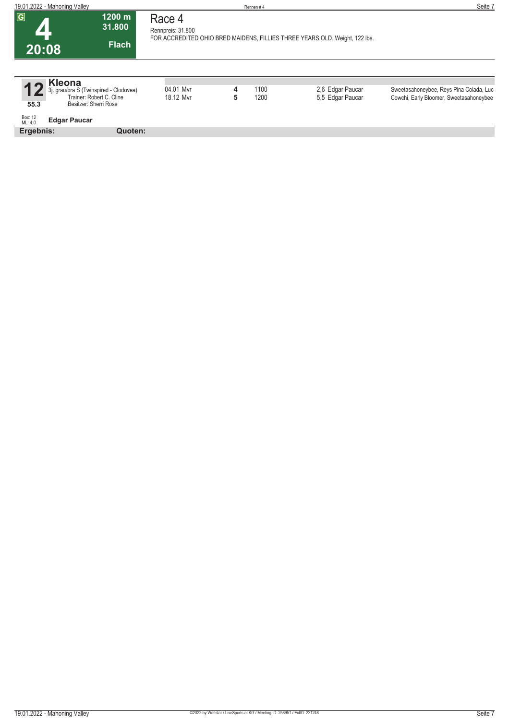| 19.01.2022 - Mahoning Valley              |                                                                                             |                             |        | Rennen#4     |                                                                             | Seite 7                                                                            |
|-------------------------------------------|---------------------------------------------------------------------------------------------|-----------------------------|--------|--------------|-----------------------------------------------------------------------------|------------------------------------------------------------------------------------|
| $\boxed{G}$<br>20:08                      | 1200 m<br>31.800<br><b>Flach</b>                                                            | Race 4<br>Rennpreis: 31.800 |        |              | FOR ACCREDITED OHIO BRED MAIDENS, FILLIES THREE YEARS OLD. Weight, 122 lbs. |                                                                                    |
| <b>Kleona</b><br>55.3                     | 3j. grau/bra S (Twinspired - Clodovea)<br>Trainer: Robert C. Cline<br>Besitzer: Sherri Rose | 04.01 Mvr<br>18.12 Myr      | 4<br>5 | 1100<br>1200 | 2,6 Edgar Paucar<br>5,5 Edgar Paucar                                        | Sweetasahoneybee, Reys Pina Colada, Luc<br>Cowchi, Early Bloomer, Sweetasahoneybee |
| Box: 12<br>ML: 4,0<br><b>Edgar Paucar</b> |                                                                                             |                             |        |              |                                                                             |                                                                                    |
| Ergebnis:                                 | Quoten:                                                                                     |                             |        |              |                                                                             |                                                                                    |
|                                           |                                                                                             |                             |        |              |                                                                             |                                                                                    |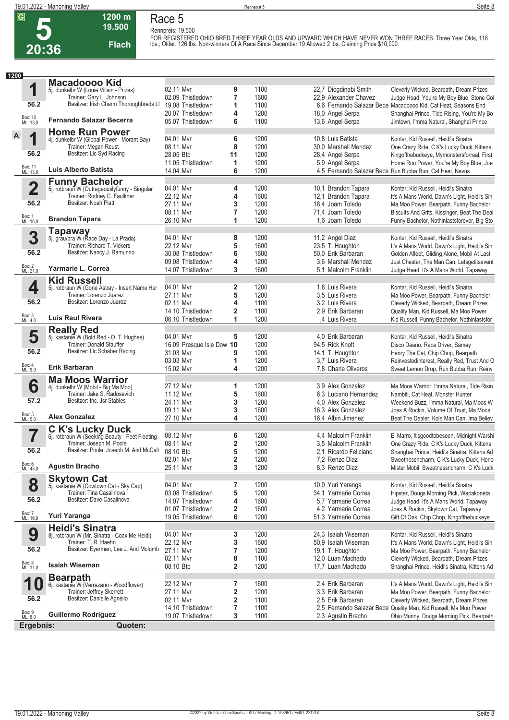**5 20:36** **Race 5 Rennpreis: 19.500**

**1200 m 19.500** 

**Flach**

FOR REGISTERED OHIO BRED THREE YEAR OLDS AND UPWARD WHICH HAVE NEVER WON THREE RACES. Three Year Olds, 118<br>lbs.; Older, 126 lbs. Non-winners Of A Race Since December 19 Allowed 2 lbs. Claiming Price \$10,000.

| 1200 |                     |                                                                             |                                |        |              |                                              |                                                                                                     |
|------|---------------------|-----------------------------------------------------------------------------|--------------------------------|--------|--------------|----------------------------------------------|-----------------------------------------------------------------------------------------------------|
|      |                     | <b>Macadoooo Kid</b>                                                        |                                |        |              |                                              |                                                                                                     |
|      | 1                   | 5j. dunkelbr W (Louie Villain - Prizes)                                     | 02.11 Mvr                      | 9      | 1100         | 22,7 Diogdinabi Smith                        | Cleverly Wicked, Bearpath, Dream Prizes                                                             |
|      | 56.2                | Trainer: Gary L. Johnson<br>Besitzer: Irish Charm Thoroughbreds LI          | 02.09 Thistledown              | 7      | 1600         | 22,9 Alexander Chavez                        | Judge Head, You're My Boy Blue, Stone Col                                                           |
|      |                     |                                                                             | 19.08 Thistledown              | 1      | 1100         |                                              | 6,6 Fernando Salazar Bece Macadoooo Kid, Cat Heat, Seasons End                                      |
|      | Box: 10<br>ML: 13,0 | <b>Fernando Salazar Becerra</b>                                             | 20.07 Thistledown              | 4      | 1200         | 18,0 Angel Serpa                             | Shanghai Prince, Tide Rising, You're My Bo                                                          |
|      |                     |                                                                             | 05.07 Thistledown              | 6      | 1100         | 13,6 Angel Serpa                             | Jimtown, I'mma Natural, Shanghai Prince                                                             |
| A    |                     | <b>Home Run Power</b>                                                       |                                |        |              |                                              |                                                                                                     |
|      | 1                   | 4j. dunkelbr W (Global Power - Morant Bay)                                  | 04.01 Mvr                      | 6      | 1200         | 10,8 Luis Batista                            | Kontar, Kid Russell, Heidi's Sinatra                                                                |
|      | 56.2                | Trainer: Megan Reust<br>Besitzer: Llc Syd Racing                            | 08.11 Mvr                      | 8      | 1200         | 30,0 Marshall Mendez                         | One Crazy Ride, C K's Lucky Duck, Kittens                                                           |
|      |                     |                                                                             | 28.05 Btp                      | 11     | 1200         | 28,4 Angel Serpa                             | Kingofthebuckeye, Mymonstersforreal, First                                                          |
|      | Box: 11<br>ML: 13,0 | Luis Alberto Batista                                                        | 11.05 Thistledown<br>14.04 Mvr | 1<br>6 | 1200<br>1200 | 5,9 Angel Serpa                              | Home Run Power, You're My Boy Blue, Joe<br>4,5 Fernando Salazar Bece Run Bubba Run, Cat Heat, Nevus |
|      |                     |                                                                             |                                |        |              |                                              |                                                                                                     |
|      |                     | <b>Funny Bachelor</b>                                                       |                                |        |              |                                              |                                                                                                     |
|      | 2                   | 5j. rotbraun W (Outrageouslyfunny - Singular<br>Trainer: Rodney C. Faulkner | 04.01 Mvr<br>22.12 Mvr         | 4<br>4 | 1200<br>1600 | 10,1 Brandon Tapara<br>12,1 Brandon Tapara   | Kontar, Kid Russell, Heidi's Sinatra<br>It's A Mans World, Dawn's Light, Heidi's Sin                |
|      | 56.2                | Besitzer: Noah Platt                                                        | 27.11 Myr                      | 3      | 1200         | 18,4 Joam Toledo                             | Ma Moo Power, Bearpath, Funny Bachelor                                                              |
|      |                     |                                                                             | 08.11 Myr                      | 7      | 1200         | 71,4 Joam Toledo                             | Biscuits And Grits, Kissinger, Beat The Deal                                                        |
|      | Box: 1<br>ML: 16,0  | <b>Brandon Tapara</b>                                                       | 26.10 Mvr                      | 1      | 1200         | 1,6 Joam Toledo                              | Funny Bachelor, Nothinlastsforever, Big Sto                                                         |
|      |                     |                                                                             |                                |        |              |                                              |                                                                                                     |
|      | 3                   | Tapaway<br>5j. grau/bra W (Race Day - La Prada)                             | 04.01 Mvr                      | 8      | 1200         | 11,2 Angel Diaz                              | Kontar, Kid Russell, Heidi's Sinatra                                                                |
|      |                     | Trainer: Richard T. Vickers                                                 | 22.12 Mvr                      | 5      | 1600         | 23,5 T. Houghton                             | It's A Mans World, Dawn's Light, Heidi's Sin                                                        |
|      | 56.2                | Besitzer: Nancy J. Ramunno                                                  | 30.08 Thistledown              | 6      | 1600         | 50,0 Erik Barbaran                           | Golden Afleet, Gliding Alone, Mobil At Last                                                         |
|      |                     |                                                                             | 09.08 Thistledown              | 4      | 1200         | 3.6 Marshall Mendez                          | Just Chester, The Man Can, Letsgetitsevent                                                          |
|      | Box: 2<br>ML: 21,0  | Yarmarie L. Correa                                                          | 14.07 Thistledown              | 3      | 1600         | 5.1 Malcolm Franklin                         | Judge Head, It's A Mans World, Tapaway                                                              |
|      |                     | <b>Kid Russell</b>                                                          |                                |        |              |                                              |                                                                                                     |
|      | 4                   | 5j. rotbraun W (Gone Astray - Insert Name Her                               | 04.01 Mvr                      | 2      | 1200         | 1,8 Luis Rivera                              | Kontar, Kid Russell, Heidi's Sinatra                                                                |
|      |                     | Trainer: Lorenzo Juarez                                                     | 27.11 Myr                      | 5      | 1200         | 3.5 Luis Rivera                              | Ma Moo Power, Bearpath, Funny Bachelor                                                              |
|      | 56.2                | Besitzer: Lorenzo Juarez                                                    | 02.11 Mvr                      | 4      | 1100         | 3.2 Luis Rivera                              | Cleverly Wicked, Bearpath, Dream Prizes                                                             |
|      |                     |                                                                             | 14.10 Thistledown              | 2      | 1100         | 2.9 Erik Barbaran                            | Quality Man, Kid Russell, Ma Moo Power                                                              |
|      | Box: 3<br>ML: 4,0   | Luis Raul Rivera                                                            | 06.10 Thistledown              | 1      | 1200         | ,4 Luis Rivera                               | Kid Russell, Funny Bachelor, Nothinlastsfor                                                         |
|      |                     | <b>Really Red</b>                                                           |                                |        |              |                                              |                                                                                                     |
|      | 5                   | 5j. kastanie W (Bold Red - O. T. Hughes)                                    | 04.01 Mvr                      | 5      | 1200         | 4,0 Erik Barbaran                            | Kontar, Kid Russell, Heidi's Sinatra                                                                |
|      |                     | Trainer: Donald Stauffer                                                    | 16.09 Presque Isle Dow 10      |        | 1200         | 94,5 Rick Knott                              | Disco Deano, Race Driver, Samay                                                                     |
|      | 56.2                | Besitzer: Llc Schaber Racing                                                | 31.03 Mvr                      | 9      | 1200         | 14,1 T. Houghton                             | Henry The Cat, Chip Chop, Bearpath                                                                  |
|      |                     |                                                                             | 03.03 Mvr                      | 1      | 1200         | 3.7 Luis Rivera                              | Reinvestedinterest, Really Red, Trust And O                                                         |
|      | Box: 4<br>ML: 9,0   | <b>Erik Barbaran</b>                                                        | 15.02 Mvr                      | 4      | 1200         | 7,8 Charle Oliveros                          | Sweet Lemon Drop, Run Bubba Run, Reinv                                                              |
|      |                     | <b>Ma Moos Warrior</b>                                                      |                                |        |              |                                              |                                                                                                     |
|      | 6                   | 4j. dunkelbr W (Mobil - Big Ma Moo)                                         | 27.12 Mvr                      | 1      | 1200         | 3.9 Alex Gonzalez                            | Ma Moos Warrior, I'mma Natural, Tide Risin                                                          |
|      | 57.2                | Trainer: Jake S. Radosevich<br>Besitzer: Inc. Jsr Stables                   | 11.12 Mvr                      | 5      | 1600         | 6.3 Luciano Hernandez                        | Nambiti, Cat Heat, Monster Hunter                                                                   |
|      |                     |                                                                             | 24.11 Mvr                      | 3      | 1200<br>1600 | 4.0 Alex Gonzalez                            | Weekend Buzz, I'mma Natural, Ma Moos W                                                              |
|      | Box: 5<br>ML: 5,0   | <b>Alex Gonzalez</b>                                                        | 09.11 Mvr<br>27.10 Mvr         | 3<br>4 | 1200         | 16,3 Alex Gonzalez<br>16,4 Albin Jimenez     | Joes A Rockin, Volume Of Trust, Ma Moos<br>Beat The Dealer, Kole Man Can, Ima Believ                |
|      |                     |                                                                             |                                |        |              |                                              |                                                                                                     |
|      |                     | <b>C K's Lucky Duck</b><br>6j. rotbraun W (Seeking Beauty - Feet Fleeting   |                                |        |              |                                              |                                                                                                     |
|      | 7                   | Trainer: Joseph M. Poole                                                    | 08.12 Mvr<br>08.11 Mvr         | 6<br>2 | 1200<br>1200 | 4,4 Malcolm Franklin<br>3.5 Malcolm Franklin | El Marro, It'sgoodtobeseen, Midnight Warshi                                                         |
|      | 56.2                | Besitzer: Poole, Joseph M. And McCall                                       | 08.10 Btp                      | 5      | 1200         | 2.1 Ricardo Feliciano                        | One Crazy Ride, C K's Lucky Duck, Kittens<br>Shanghai Prince, Heidi's Sinatra, Kittens Ad           |
|      |                     |                                                                             | 02.01 Mvr                      | 2      | 1200         | 7,2 Renzo Diaz                               | Sweetnessncharm, C K's Lucky Duck, Hono                                                             |
|      | Box: 6<br>ML: 45,0  | <b>Agustin Bracho</b>                                                       | 25.11 Mvr                      | 3      | 1200         | 8.3 Renzo Diaz                               | Mister Mobil, Sweetnessncharm, C K's Luck                                                           |
|      |                     | <b>Skytown Cat</b>                                                          |                                |        |              |                                              |                                                                                                     |
|      | 8                   | 5j. kastanie W (Cowtown Cat - Sky Cap)                                      | 04.01 Mvr                      | 7      | 1200         | 10,9 Yuri Yaranga                            | Kontar, Kid Russell, Heidi's Sinatra                                                                |
|      |                     | Trainer: Tina Casalinova                                                    | 03.08 Thistledown              | 5      | 1200         | 34,1 Yarmarie Correa                         | Hipster, Dougs Morning Pick, Wapakoneta                                                             |
|      | 56.2                | Besitzer: Dave Casalinova                                                   | 14.07 Thistledown              | 4      | 1600         | 5.7 Yarmarie Correa                          | Judge Head, It's A Mans World, Tapaway                                                              |
|      |                     |                                                                             | 01.07 Thistledown              | 2      | 1600         | 4,2 Yarmarie Correa                          | Joes A Rockin, Skytown Cat, Tapaway                                                                 |
|      | Box: 7<br>ML: 16,0  | Yuri Yaranga                                                                | 19.05 Thistledown              | 6      | 1200         | 51,3 Yarmarie Correa                         | Gift Of Oak, Chip Chop, Kingofthebuckeye                                                            |
|      |                     | <b>Heidi's Sinatra</b>                                                      |                                |        |              |                                              |                                                                                                     |
|      | 9                   | 8j. rotbraun W (Mr. Sinatra - Coax Me Heidi)                                | 04.01 Mvr                      | 3      | 1200         | 24,3 Isaiah Wiseman                          | Kontar, Kid Russell, Heidi's Sinatra                                                                |
|      |                     | Trainer: T. R. Haehn                                                        | 22.12 Mvr                      | 3      | 1600         | 50,9 Isaiah Wiseman                          | It's A Mans World, Dawn's Light, Heidi's Sin                                                        |
|      | 56.2                | Besitzer: Eyerman, Lee J. And Molumb                                        | 27.11 Mvr                      | 7      | 1200         | 19,1 T. Houghton                             | Ma Moo Power, Bearpath, Funny Bachelor                                                              |
|      |                     |                                                                             | 02.11 Mvr                      | 8      | 1100         | 12.0 Luan Machado                            | Cleverly Wicked, Bearpath, Dream Prizes                                                             |
|      | Box: 8<br>ML: 11,0  | <b>Isaiah Wiseman</b>                                                       | 08.10 Btp                      | 2      | 1200         | 17,7 Luan Machado                            | Shanghai Prince, Heidi's Sinatra, Kittens Ad                                                        |
|      |                     | <b>Bearpath</b>                                                             |                                |        |              |                                              |                                                                                                     |
|      | 10                  | 6j. kastanie W (Verrazano - Woodflower)                                     | 22.12 Mvr                      | 7      | 1600         | 2,4 Erik Barbaran                            | It's A Mans World, Dawn's Light, Heidi's Sin                                                        |
|      |                     | Trainer: Jeffrey Skerrett                                                   | 27.11 Mvr                      | 2      | 1200         | 3,3 Erik Barbaran                            | Ma Moo Power, Bearpath, Funny Bachelor                                                              |
|      | 56.2                | Besitzer: Danielle Agnello                                                  | 02.11 Mvr                      | 2      | 1100         | 2,5 Erik Barbaran                            | Cleverly Wicked, Bearpath, Dream Prizes                                                             |
|      | Box: 9<br>ML: 6,0   | <b>Guillermo Rodriguez</b>                                                  | 14.10 Thistledown              | 7      | 1100         |                                              | 2,5 Fernando Salazar Bece Quality Man, Kid Russell, Ma Moo Power                                    |
|      |                     |                                                                             | 19.07 Thistledown              | 3      | 1100         | 2,3 Agustin Bracho                           | Ohio Munny, Dougs Morning Pick, Bearpath                                                            |
|      | Ergebnis:           | Quoten:                                                                     |                                |        |              |                                              |                                                                                                     |
|      |                     |                                                                             |                                |        |              |                                              |                                                                                                     |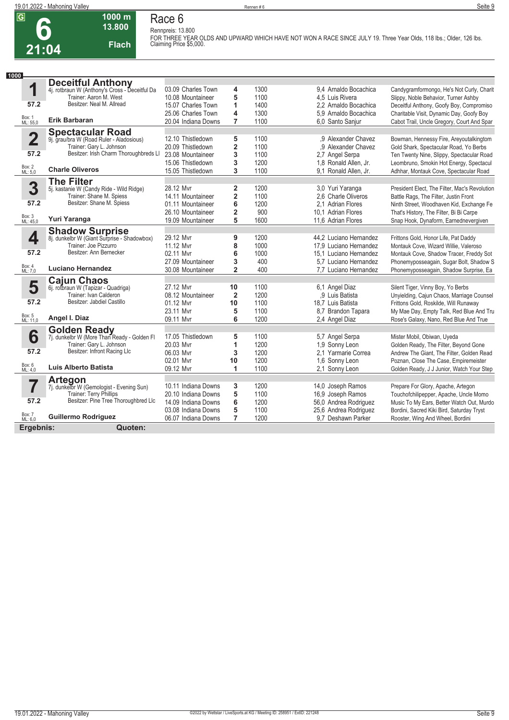

#### **1000 m 13.800 Flach Race 6**

**Rennpreis: 13.800 FOR THREE YEAR OLDS AND UPWARD WHICH HAVE NOT WON A RACE SINCE JULY 19. Three Year Olds, 118 lbs.; Older, 126 lbs. Claiming Price \$5,000.** 

| 1000                    |                                                                       |                                        |                         |              |                                                  |                                                                                     |
|-------------------------|-----------------------------------------------------------------------|----------------------------------------|-------------------------|--------------|--------------------------------------------------|-------------------------------------------------------------------------------------|
|                         | <b>Deceitful Anthony</b>                                              |                                        |                         |              |                                                  |                                                                                     |
| 1                       | 4j. rotbraun W (Anthony's Cross - Deceitful Da                        | 03.09 Charles Town                     | 4                       | 1300         | 9.4 Arnaldo Bocachica                            | Candygramformongo, He's Not Curly, Charit                                           |
|                         | Trainer: Aaron M. West                                                | 10.08 Mountaineer                      | 5                       | 1100         | 4,5 Luis Rivera                                  | Slippy, Noble Behavior, Turner Ashby                                                |
| 57.2                    | Besitzer: Neal M. Allread                                             | 15.07 Charles Town                     | 1                       | 1400         | 2.2 Arnaldo Bocachica                            | Deceitful Anthony, Goofy Boy, Compromiso                                            |
| Box: 1                  | <b>Erik Barbaran</b>                                                  | 25.06 Charles Town                     | 4                       | 1300         | 5.9 Arnaldo Bocachica                            | Charitable Visit, Dynamic Day, Goofy Boy                                            |
| ML: 55,0                |                                                                       | 20.04 Indiana Downs                    | 7                       | 1100         | 6.0 Santo Sanjur                                 | Cabot Trail, Uncle Gregory, Court And Spar                                          |
|                         | <b>Spectacular Road</b>                                               |                                        |                         |              |                                                  |                                                                                     |
| $\overline{\mathbf{2}}$ | 9j. grau/bra W (Road Ruler - Aladosious)                              | 12.10 Thistledown                      | 5                       | 1100         | .9 Alexander Chavez                              | Bowman, Hennessy Fire, Areyoutalkingtom                                             |
|                         | Trainer: Gary L. Johnson<br>Besitzer: Irish Charm Thoroughbreds LI    | 20.09 Thistledown                      | $\overline{\mathbf{2}}$ | 1100         | .9 Alexander Chavez                              | Gold Shark, Spectacular Road, Yo Berbs                                              |
| 57.2                    |                                                                       | 23.08 Mountaineer                      | 3                       | 1100         | 2.7 Angel Serpa                                  | Ten Twenty Nine, Slippy, Spectacular Road                                           |
| Box: 2<br>ML: 5,0       | <b>Charle Oliveros</b>                                                | 15.06 Thistledown                      | 3                       | 1200         | 1,8 Ronald Allen, Jr.                            | Leombruno, Smokin Hot Energy, Spectacul                                             |
|                         |                                                                       | 15.05 Thistledown                      | 3                       | 1100         | 9,1 Ronald Allen, Jr.                            | Adhhar, Montauk Cove, Spectacular Road                                              |
|                         | <b>The Filter</b>                                                     |                                        |                         |              |                                                  |                                                                                     |
| 3                       | 5j. kastanie W (Candy Ride - Wild Ridge)<br>Trainer: Shane M. Spiess  | 28.12 Mvr<br>14.11 Mountaineer         | 2                       | 1200<br>1100 | 3.0 Yuri Yaranga<br>2.6 Charle Oliveros          | President Elect, The Filter, Mac's Revolution                                       |
| 57.2                    | Besitzer: Shane M. Spiess                                             |                                        | $\overline{\mathbf{2}}$ | 1200         |                                                  | Battle Rags, The Filter, Justin Front                                               |
|                         |                                                                       | 01.11 Mountaineer<br>26.10 Mountaineer | 6<br>$\overline{2}$     | 900          | 2.1 Adrian Flores<br>10.1 Adrian Flores          | Ninth Street, Woodhaven Kid, Exchange Fe<br>That's History, The Filter, Bi Bi Carpe |
| Box: 3<br>ML: 45,0      | Yuri Yaranga                                                          | 19.09 Mountaineer                      | 5                       | 1600         | 11.6 Adrian Flores                               | Snap Hook, Dynaform, Earnednevergiven                                               |
|                         |                                                                       |                                        |                         |              |                                                  |                                                                                     |
|                         | <b>Shadow Surprise</b><br>8j. dunkelbr W (Giant Surprise - Shadowbox) |                                        |                         |              |                                                  |                                                                                     |
| 4                       | Trainer: Joe Pizzurro                                                 | 29.12 Mvr<br>11.12 Mvr                 | 9<br>8                  | 1200<br>1000 | 44,2 Luciano Hernandez<br>17.9 Luciano Hernandez | Frittons Gold, Honor Life, Pat Daddy                                                |
| 57.2                    | Besitzer: Ann Bernecker                                               | 02.11 Myr                              | 6                       | 1000         | 15.1 Luciano Hernandez                           | Montauk Cove, Wizard Willie, Valeroso<br>Montauk Cove, Shadow Tracer, Freddy Sot    |
|                         |                                                                       | 27.09 Mountaineer                      | 3                       | 400          | 5.7 Luciano Hernandez                            | Phonemyposseagain, Sugar Bolt, Shadow S                                             |
| Box: 4<br>ML: 7,0       | <b>Luciano Hernandez</b>                                              | 30.08 Mountaineer                      | $\overline{2}$          | 400          | 7.7 Luciano Hernandez                            | Phonemyposseagain, Shadow Surprise, Ea                                              |
|                         |                                                                       |                                        |                         |              |                                                  |                                                                                     |
| 5                       | <b>Cajun Chaos</b><br>6j. rotbraun W (Tapizar - Quadriga)             | 27.12 Mvr                              | 10                      | 1100         | 6,1 Angel Diaz                                   | Silent Tiger, Vinny Boy, Yo Berbs                                                   |
|                         | Trainer: Ivan Calderon                                                | 08.12 Mountaineer                      | $\overline{2}$          | 1200         | .9 Luis Batista                                  | Unyielding, Cajun Chaos, Marriage Counsel                                           |
| 57.2                    | Besitzer: Jabdiel Castillo                                            | 01.12 Mvr                              | 10                      | 1100         | 18.7 Luis Batista                                | Frittons Gold, Roskilde, Will Runaway                                               |
|                         |                                                                       | 23.11 Myr                              | 5                       | 1100         | 8.7 Brandon Tapara                               | My Mae Day, Empty Talk, Red Blue And Tru                                            |
| Box: 5<br>ML: 11,0      | Angel I. Diaz                                                         | 09.11 Mvr                              | 6                       | 1200         | 2,4 Angel Diaz                                   | Rose's Galaxy, Nano, Red Blue And True                                              |
|                         |                                                                       |                                        |                         |              |                                                  |                                                                                     |
| 6                       | <b>Golden Ready</b><br>7j. dunkelbr W (More Than Ready - Golden Fl    | 17.05 Thistledown                      | 5                       | 1100         | 5,7 Angel Serpa                                  | Mister Mobil, Obiwan, Uyeda                                                         |
|                         | Trainer: Gary L. Johnson                                              | 20.03 Mvr                              | 1                       | 1200         | 1,9 Sonny Leon                                   | Golden Ready, The Filter, Beyond Gone                                               |
| 57.2                    | Besitzer: Infront Racing Llc                                          | 06.03 Myr                              | 3                       | 1200         | 2.1 Yarmarie Correa                              | Andrew The Giant, The Filter, Golden Read                                           |
|                         |                                                                       | 02.01 Mvr                              | 10                      | 1200         | 1.6 Sonny Leon                                   | Poznan, Close The Case, Empiremeister                                               |
| Box: 6<br>ML: 4,0       | Luis Alberto Batista                                                  | 09.12 Mvr                              | 1                       | 1100         | 2.1 Sonny Leon                                   | Golden Ready, J J Junior, Watch Your Step                                           |
|                         |                                                                       |                                        |                         |              |                                                  |                                                                                     |
| 7                       | Artegon<br>7j. dunkelbr W (Gemologist - Evening Sun)                  | 10.11 Indiana Downs                    | 3                       | 1200         | 14,0 Joseph Ramos                                | Prepare For Glory, Apache, Artegon                                                  |
|                         | Trainer: Terry Phillips                                               | 20.10 Indiana Downs                    | 5                       | 1100         | 16,9 Joseph Ramos                                | Touchofchilipepper, Apache, Uncle Momo                                              |
| 57.2                    | Besitzer: Pine Tree Thoroughbred Llc                                  | 14.09 Indiana Downs                    | 6                       | 1200         | 56,0 Andrea Rodriguez                            | Music To My Ears, Better Watch Out, Murdo                                           |
|                         |                                                                       | 03.08 Indiana Downs                    | 5                       | 1100         | 25,6 Andrea Rodriguez                            | Bordini, Sacred Kiki Bird, Saturday Tryst                                           |
| Box: 7<br>ML: 6,0       | <b>Guillermo Rodriguez</b>                                            | 06.07 Indiana Downs                    | 7                       | 1200         | 9.7 Deshawn Parker                               | Rooster, Wing And Wheel, Bordini                                                    |
| Ergebnis:               | Quoten:                                                               |                                        |                         |              |                                                  |                                                                                     |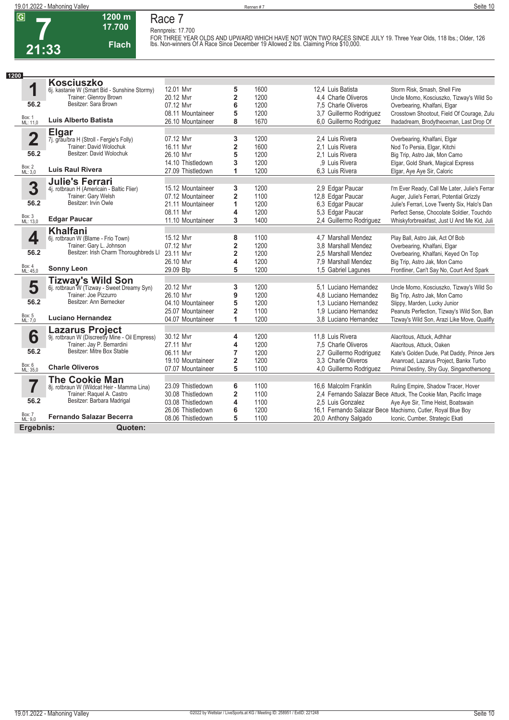

# **1200 m Race 7**

**Rennpreis: 17.700**

**17.700 Flach**

FOR THREE YEAR OLDS AND UPWARD WHICH HAVE NOT WON TWO RACES SINCE JULY 19. Three Year Olds, 118 lbs.; Older, 126<br>Ibs. Non-winners Of A Race Since December 19 Allowed 2 Ibs. Claiming Price \$10,000.

| 1200                    |                                                                          |                   |                         |      |                         |                                                                 |
|-------------------------|--------------------------------------------------------------------------|-------------------|-------------------------|------|-------------------------|-----------------------------------------------------------------|
|                         | <b>Kosciuszko</b>                                                        |                   |                         |      |                         |                                                                 |
| 1                       | 6j. kastanie W (Smart Bid - Sunshine Stormy)                             | 12.01 Mvr         | 5                       | 1600 | 12.4 Luis Batista       | Storm Risk, Smash, Shell Fire                                   |
|                         | Trainer: Glenroy Brown                                                   | 20.12 Mvr         | $\overline{\mathbf{2}}$ | 1200 | 4.4 Charle Oliveros     | Uncle Momo, Kosciuszko, Tizway's Wild So                        |
| 56.2                    | Besitzer: Sara Brown                                                     | 07.12 Myr         | 6                       | 1200 | 7.5 Charle Oliveros     | Overbearing, Khalfani, Elgar                                    |
|                         |                                                                          | 08.11 Mountaineer | 5                       | 1200 | 3.7 Guillermo Rodriguez | Crosstown Shootout, Field Of Courage, Zulu                      |
| Box: 1<br>ML: 11,0      | Luis Alberto Batista                                                     | 26.10 Mountaineer | 8                       | 1670 | 6,0 Guillermo Rodriguez | Ihadadream, Brodytheoxman, Last Drop Of                         |
|                         | <b>Elgar</b>                                                             |                   |                         |      |                         |                                                                 |
| $\overline{\mathbf{2}}$ | 7j. grau/bra H (Stroll - Fergie's Folly)                                 | 07.12 Mvr         | 3                       | 1200 | 2.4 Luis Rivera         | Overbearing, Khalfani, Elgar                                    |
|                         | Trainer: David Wolochuk                                                  | 16.11 Myr         | $\overline{\mathbf{2}}$ | 1600 | 2.1 Luis Rivera         | Nod To Persia, Elgar, Kitchi                                    |
| 56.2                    | Besitzer: David Wolochuk                                                 | 26.10 Mvr         | 5                       | 1200 | 2.1 Luis Rivera         | Big Trip, Astro Jak, Mon Camo                                   |
|                         |                                                                          | 14.10 Thistledown | 3                       | 1200 | .9 Luis Rivera          | Elgar, Gold Shark, Magical Express                              |
| Box: 2<br>ML: 3,0       | <b>Luis Raul Rivera</b>                                                  | 27.09 Thistledown | 1                       | 1200 | 6.3 Luis Rivera         | Elgar, Aye Aye Sir, Caloric                                     |
|                         | <b>Julie's Ferrari</b>                                                   |                   |                         |      |                         |                                                                 |
| 3                       | 4j. rotbraun H (Americain - Baltic Flier)                                | 15.12 Mountaineer | 3                       | 1200 | 2,9 Edgar Paucar        | I'm Ever Ready, Call Me Later, Julie's Ferrar                   |
|                         | Trainer: Gary Welsh                                                      | 07.12 Mountaineer | 2                       | 1100 | 12,8 Edgar Paucar       | Auger, Julie's Ferrari, Potential Grizzly                       |
| 56.2                    | Besitzer: Irvin Owle                                                     | 21.11 Mountaineer | 1                       | 1200 | 6.3 Edgar Paucar        | Julie's Ferrari, Love Twenty Six, Halo's Dan                    |
|                         |                                                                          | 08.11 Mvr         | 4                       | 1200 | 5.3 Edgar Paucar        | Perfect Sense, Chocolate Soldier, Touchdo                       |
| Box: 3<br>ML: 13,0      | <b>Edgar Paucar</b>                                                      | 11.10 Mountaineer | 3                       | 1400 | 2,4 Guillermo Rodriguez | Whiskyforbreakfast, Just U And Me Kid, Juli                     |
|                         | <b>Khalfani</b>                                                          |                   |                         |      |                         |                                                                 |
| 4                       | 6j. rotbraun W (Blame - Frio Town)                                       | 15.12 Mvr         | 8                       | 1100 | 4.7 Marshall Mendez     | Play Ball, Astro Jak, Act Of Bob                                |
|                         | Trainer: Gary L. Johnson                                                 | 07.12 Mvr         | 2                       | 1200 | 3.8 Marshall Mendez     | Overbearing, Khalfani, Elgar                                    |
| 56.2                    | Besitzer: Irish Charm Thoroughbreds LI                                   | 23.11 Mvr         | $\overline{\mathbf{2}}$ | 1200 | 2.5 Marshall Mendez     | Overbearing, Khalfani, Keyed On Top                             |
|                         |                                                                          | 26.10 Myr         | 4                       | 1200 | 7.9 Marshall Mendez     | Big Trip, Astro Jak, Mon Camo                                   |
| Box: 4<br>ML: 45,0      | <b>Sonny Leon</b>                                                        | 29.09 Btp         | 5                       | 1200 | 1,5 Gabriel Lagunes     | Frontliner, Can't Say No, Court And Spark                       |
|                         | <b>Tizway's Wild Son</b>                                                 |                   |                         |      |                         |                                                                 |
| 5                       | 6. rotbraun W (Tizway - Sweet Dreamy Syn)                                | 20.12 Mvr         | 3                       | 1200 | 5.1 Luciano Hernandez   | Uncle Momo, Kosciuszko, Tizway's Wild So                        |
|                         | Trainer: Joe Pizzurro                                                    | 26.10 Mvr         | 9                       | 1200 | 4.8 Luciano Hernandez   | Big Trip, Astro Jak, Mon Camo                                   |
| 56.2                    | Besitzer: Ann Bernecker                                                  | 04.10 Mountaineer | 5                       | 1200 | 1,3 Luciano Hernandez   | Slippy, Marden, Lucky Junior                                    |
|                         |                                                                          | 25.07 Mountaineer | $\overline{\mathbf{2}}$ | 1100 | 1,9 Luciano Hernandez   | Peanuts Perfection, Tizway's Wild Son, Ban                      |
| Box: 5<br>ML: 7,0       | <b>Luciano Hernandez</b>                                                 | 04.07 Mountaineer | 1                       | 1200 | 3.8 Luciano Hernandez   | Tizway's Wild Son, Arazi Like Move, Qualifly                    |
|                         |                                                                          |                   |                         |      |                         |                                                                 |
| 6                       | <b>Lazarus Project</b><br>9j. rotbraun W (Discreetly Mine - Oil Empress) | 30.12 Mvr         | 4                       | 1200 | 11.8 Luis Rivera        | Alacritous, Attuck, Adhhar                                      |
|                         | Trainer: Jay P. Bernardini                                               | 27.11 Mvr         | 4                       | 1200 | 7.5 Charle Oliveros     | Alacritous, Attuck, Oaken                                       |
| 56.2                    | Besitzer: Mitre Box Stable                                               | 06.11 Myr         | $\overline{7}$          | 1200 | 2,7 Guillermo Rodriguez | Kate's Golden Dude, Pat Daddy, Prince Jers                      |
|                         |                                                                          | 19.10 Mountaineer | $\overline{\mathbf{2}}$ | 1200 | 3.3 Charle Oliveros     | Ananroad, Lazarus Project, Bankx Turbo                          |
| Box: 6<br>ML: 35,0      | <b>Charle Oliveros</b>                                                   | 07.07 Mountaineer | 5                       | 1100 | 4,0 Guillermo Rodriguez | Primal Destiny, Shy Guy, Singanothersong                        |
|                         | <b>The Cookie Man</b>                                                    |                   |                         |      |                         |                                                                 |
| 7                       | 8j. rotbraun W (Wildcat Heir - Mamma Lina)                               | 23.09 Thistledown | 6                       | 1100 | 16.6 Malcolm Franklin   | Ruling Empire, Shadow Tracer, Hover                             |
|                         | Trainer: Raquel A. Castro                                                | 30.08 Thistledown | $\overline{\mathbf{2}}$ | 1100 |                         | 2.4 Fernando Salazar Bece Attuck, The Cookie Man, Pacific Image |
| 56.2                    | Besitzer: Barbara Madrigal                                               | 03.08 Thistledown | 4                       | 1100 | 2.5 Luis Gonzalez       | Aye Aye Sir, Time Heist, Boatswain                              |
|                         |                                                                          | 26.06 Thistledown | 6                       | 1200 |                         | 16,1 Fernando Salazar Bece Machismo, Cutler, Royal Blue Boy     |
| Box: 7<br>ML: 9,0       | <b>Fernando Salazar Becerra</b>                                          | 08.06 Thistledown | 5                       | 1100 | 20,0 Anthony Salgado    | Iconic, Cumber, Strategic Ekati                                 |
| Ergebnis:               | Quoten:                                                                  |                   |                         |      |                         |                                                                 |
|                         |                                                                          |                   |                         |      |                         |                                                                 |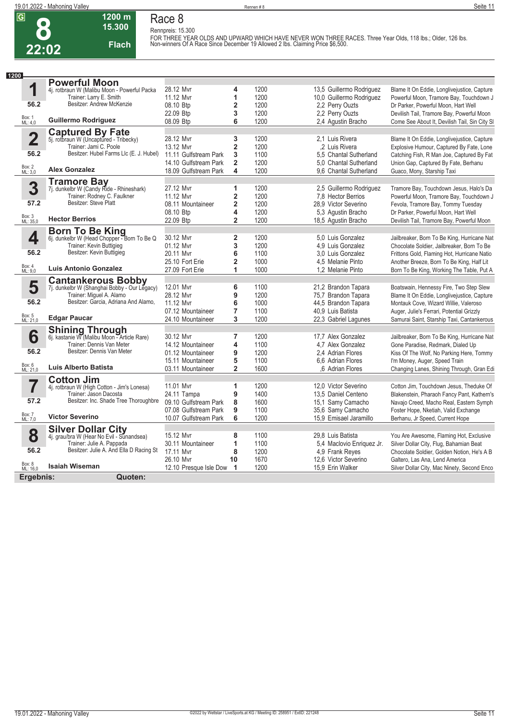

#### **1200 m 15.300 Race 8 Rennpreis: 15.300**

**Flach**

FOR THREE YEAR OLDS AND UPWARD WHICH HAVE NEVER WON THREE RACES. Three Year Olds, 118 lbs.; Older, 126 lbs.<br>Non-winners Of A Race Since December 19 Allowed 2 lbs. Claiming Price \$6,500.

| 1200                    |                                                                       |                        |                         |      |                           |                                               |
|-------------------------|-----------------------------------------------------------------------|------------------------|-------------------------|------|---------------------------|-----------------------------------------------|
|                         | <b>Powerful Moon</b>                                                  |                        |                         |      |                           |                                               |
| 1                       | 4j. rotbraun W (Malibu Moon - Powerful Packa                          | 28.12 Mvr              | 4                       | 1200 | 13,5 Guillermo Rodriguez  | Blame It On Eddie, Longlivejustice, Capture   |
|                         | Trainer: Larry E. Smith                                               | 11.12 Mvr              | 1                       | 1200 | 10,0 Guillermo Rodriguez  | Powerful Moon, Tramore Bay, Touchdown J       |
| 56.2                    | Besitzer: Andrew McKenzie                                             | 08.10 Btp              | 2                       | 1200 | 2,2 Perry Ouzts           | Dr Parker, Powerful Moon, Hart Well           |
|                         |                                                                       | 22.09 Btp              | 3                       | 1200 | 2,2 Perry Ouzts           | Devilish Tail, Tramore Bay, Powerful Moon     |
| Box: 1<br>ML: 4,0       | <b>Guillermo Rodriguez</b>                                            | 08.09 Btp              | 6                       | 1200 | 2,4 Agustin Bracho        | Come See About It, Devilish Tail, Sin City SI |
|                         | <b>Captured By Fate</b>                                               |                        |                         |      |                           |                                               |
| $\overline{\mathbf{2}}$ | 5j. rotbraun W (Uncaptured - Tribecky)                                | 28.12 Mvr              | 3                       | 1200 | 2.1 Luis Rivera           | Blame It On Eddie, Longlivejustice, Capture   |
|                         | Trainer: Jami C. Poole                                                | 13.12 Mvr              | $\overline{\mathbf{2}}$ | 1200 | 2 Luis Rivera             | Explosive Humour, Captured By Fate, Lone      |
| 56.2                    | Besitzer: Hubel Farms Llc (E. J. Hubel)                               | 11.11 Gulfstream Park  | 3                       | 1100 | 5,5 Chantal Sutherland    | Catching Fish, R Man Joe, Captured By Fat     |
|                         |                                                                       | 14.10 Gulfstream Park  | $\overline{2}$          | 1200 | 5.0 Chantal Sutherland    | Union Gap, Captured By Fate, Berhanu          |
| Box: 2<br>ML: 3,0       | <b>Alex Gonzalez</b>                                                  | 18.09 Gulfstream Park  | 4                       | 1200 | 9.6 Chantal Sutherland    | Guaco, Mony, Starship Taxi                    |
|                         |                                                                       |                        |                         |      |                           |                                               |
| 3                       | <b>Tramore Bay</b><br>7j. dunkelbr W (Candy Ride - Rhineshark)        | 27.12 Mvr              | 1                       | 1200 | 2,5 Guillermo Rodriguez   | Tramore Bay, Touchdown Jesus, Halo's Da       |
|                         | Trainer: Rodney C. Faulkner                                           | 11.12 Mvr              | 2                       | 1200 | 7.8 Hector Berrios        | Powerful Moon, Tramore Bay, Touchdown J       |
| 57.2                    | Besitzer: Steve Platt                                                 | 08.11 Mountaineer      | $\overline{\mathbf{2}}$ | 1200 | 28.9 Victor Severino      | Fevola, Tramore Bay, Tommy Tuesday            |
|                         |                                                                       | 08.10 Btp              | 4                       | 1200 | 5,3 Agustin Bracho        | Dr Parker, Powerful Moon, Hart Well           |
| Box: 3<br>ML: 35,0      | <b>Hector Berrios</b>                                                 | 22.09 Btp              | $\overline{2}$          | 1200 | 18,5 Agustin Bracho       | Devilish Tail, Tramore Bay, Powerful Moon     |
|                         |                                                                       |                        |                         |      |                           |                                               |
| 4                       | <b>Born To Be King</b><br>6j. dunkelbr W (Head Chopper - Born To Be Q | 30.12 Mvr              | $\overline{\mathbf{2}}$ | 1200 | 5.0 Luis Gonzalez         | Jailbreaker, Born To Be King, Hurricane Nat   |
|                         | Trainer: Kevin Buttigieg                                              | 01.12 Mvr              | 3                       | 1200 | 4.9 Luis Gonzalez         | Chocolate Soldier, Jailbreaker, Born To Be    |
| 56.2                    | Besitzer: Kevin Buttigieg                                             | 20.11 Mvr              | 6                       | 1100 | 3.0 Luis Gonzalez         | Frittons Gold, Flaming Hot, Hurricane Natio   |
|                         |                                                                       | 25.10 Fort Erie        | $\overline{2}$          | 1000 | 4.5 Melanie Pinto         | Another Breeze, Born To Be King, Half Lit     |
| Box: 4<br>ML: 9.0       | <b>Luis Antonio Gonzalez</b>                                          | 27.09 Fort Erie        | 1                       | 1000 | 1.2 Melanie Pinto         | Born To Be King, Working The Table, Put A     |
|                         | <b>Cantankerous Bobby</b>                                             |                        |                         |      |                           |                                               |
| 5                       | 7j. dunkelbr W (Shanghai Bobby - Our Legacy)                          | 12.01 Mvr              | 6                       | 1100 | 21,2 Brandon Tapara       | Boatswain, Hennessy Fire, Two Step Slew       |
|                         | Trainer: Miguel A. Alamo                                              | 28.12 Mvr              | 9                       | 1200 | 75,7 Brandon Tapara       | Blame It On Eddie, Longlivejustice, Capture   |
| 56.2                    | Besitzer: Garcia, Adriana And Alamo,                                  | 11.12 Mvr              | 6                       | 1000 | 44,5 Brandon Tapara       | Montauk Cove, Wizard Willie, Valeroso         |
|                         |                                                                       | 07.12 Mountaineer      | $\overline{7}$          | 1100 | 40.9 Luis Batista         | Auger, Julie's Ferrari, Potential Grizzly     |
| Box: 5<br>ML: 21,0      | <b>Edgar Paucar</b>                                                   | 24.10 Mountaineer      | 3                       | 1200 | 22,3 Gabriel Lagunes      | Samurai Saint, Starship Taxi, Cantankerous    |
|                         |                                                                       |                        |                         |      |                           |                                               |
| 6                       | <b>Shining Through</b><br>6j. kastanie W (Malibu Moon - Article Rare) | 30.12 Mvr              | $\overline{7}$          | 1200 | 17,7 Alex Gonzalez        | Jailbreaker, Born To Be King, Hurricane Nat   |
|                         | Trainer: Dennis Van Meter                                             | 14.12 Mountaineer      | 4                       | 1100 | 4.7 Alex Gonzalez         | Gone Paradise, Redmark, Dialed Up             |
| 56.2                    | Besitzer: Dennis Van Meter                                            | 01.12 Mountaineer      | 9                       | 1200 | 2.4 Adrian Flores         | Kiss Of The Wolf, No Parking Here, Tommy      |
|                         |                                                                       | 15.11 Mountaineer      | 5                       | 1100 | 6.6 Adrian Flores         | I'm Money, Auger, Speed Train                 |
| Box: 6<br>ML: 21,0      | Luis Alberto Batista                                                  | 03.11 Mountaineer      | $\overline{\mathbf{2}}$ | 1600 | .6 Adrian Flores          | Changing Lanes, Shining Through, Gran Edi     |
|                         | <b>Cotton Jim</b>                                                     |                        |                         |      |                           |                                               |
|                         | 4j. rotbraun W (High Cotton - Jim's Lonesa)                           | 11.01 Mvr              | 1                       | 1200 | 12.0 Victor Severino      | Cotton Jim, Touchdown Jesus, Theduke Of       |
|                         | Trainer: Jason Dacosta                                                | 24.11 Tampa            | 9                       | 1400 | 13,5 Daniel Centeno       | Blakenstein, Pharaoh Fancy Pant, Kathern's    |
| 57.2                    | Besitzer: Inc. Shade Tree Thoroughbre                                 | 09.10 Gulfstream Park  | 8                       | 1600 | 15,1 Samy Camacho         | Navajo Creed, Macho Real, Eastern Symph       |
|                         |                                                                       | 07.08 Gulfstream Park  | 9                       | 1100 | 35,6 Samy Camacho         | Foster Hope, Nketiah, Valid Exchange          |
| Box: 7<br>ML: 7,0       | <b>Victor Severino</b>                                                | 10.07 Gulfstream Park  | 6                       | 1200 | 15.9 Emisael Jaramillo    | Berhanu, Jr Speed, Current Hope               |
|                         |                                                                       |                        |                         |      |                           |                                               |
| 8                       | Silver Dollar City<br>4j. grau/bra W (Hear No Evil - Sunandsea)       | 15.12 Mvr              | 8                       | 1100 | 29.8 Luis Batista         | You Are Awesome, Flaming Hot, Exclusive       |
|                         | Trainer: Julie A. Pappada                                             | 30.11 Mountaineer      | 1                       | 1100 | 5.4 Maclovio Enriquez Jr. | Silver Dollar City, Flug, Bahamian Beat       |
| 56.2                    | Besitzer: Julie A. And Ella D Racing St                               | 17.11 Myr              | 8                       | 1200 | 4.9 Frank Reyes           | Chocolate Soldier, Golden Notion, He's A B    |
|                         |                                                                       | 26.10 Mvr              | 10                      | 1670 | 12,6 Victor Severino      | Galtero, Las Ana, Lend America                |
| Box: 8<br>ML: 16,0      | <b>Isaiah Wiseman</b>                                                 | 12.10 Presque Isle Dow | $\mathbf{1}$            | 1200 | 15.9 Erin Walker          | Silver Dollar City, Mac Ninety, Second Enco   |
| Ergebnis:               | Quoten:                                                               |                        |                         |      |                           |                                               |